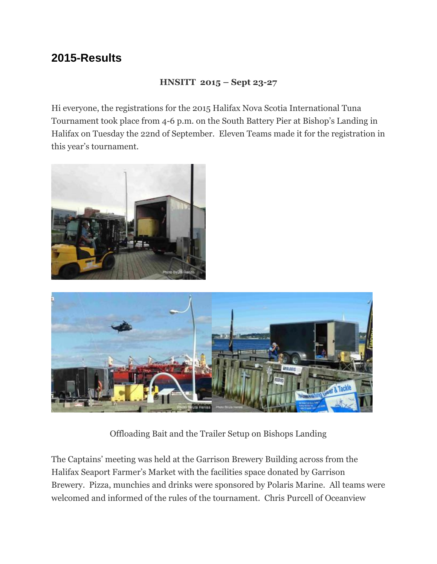## **2015-Results**

#### **HNSITT 2015 – Sept 23-27**

Hi everyone, the registrations for the 2015 Halifax Nova Scotia International Tuna Tournament took place from 4-6 p.m. on the South Battery Pier at Bishop's Landing in Halifax on Tuesday the 22nd of September. Eleven Teams made it for the registration in this year's tournament.





Offloading Bait and the Trailer Setup on Bishops Landing

The Captains' meeting was held at the Garrison Brewery Building across from the Halifax Seaport Farmer's Market with the facilities space donated by Garrison Brewery. Pizza, munchies and drinks were sponsored by Polaris Marine. All teams were welcomed and informed of the rules of the tournament. Chris Purcell of Oceanview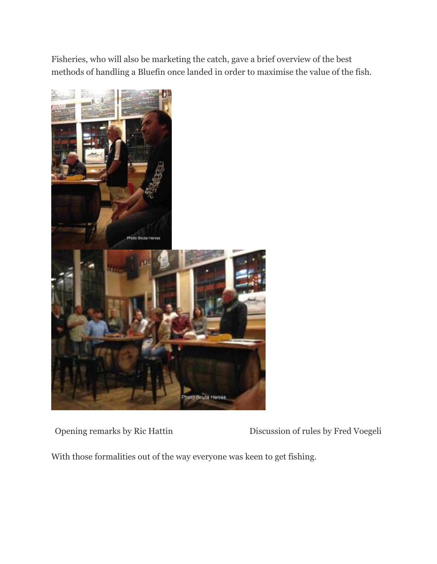Fisheries, who will also be marketing the catch, gave a brief overview of the best methods of handling a Bluefin once landed in order to maximise the value of the fish.



Opening remarks by Ric Hattin Discussion of rules by Fred Voegeli

With those formalities out of the way everyone was keen to get fishing.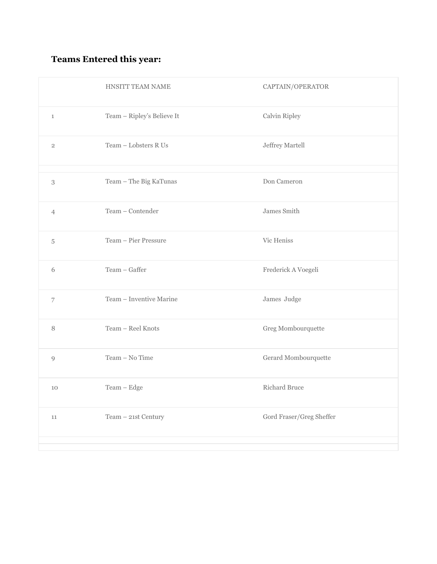## **Teams Entered this year:**

|                | HNSITT TEAM NAME           | CAPTAIN/OPERATOR         |
|----------------|----------------------------|--------------------------|
| $\mathbf{1}$   | Team - Ripley's Believe It | Calvin Ripley            |
| $\overline{2}$ | Team - Lobsters R Us       | Jeffrey Martell          |
| 3              | Team - The Big KaTunas     | Don Cameron              |
| $\overline{4}$ | Team - Contender           | James Smith              |
| $\mathbf 5$    | Team - Pier Pressure       | Vic Heniss               |
| 6              | Team - Gaffer              | Frederick A Voegeli      |
| $\overline{7}$ | Team - Inventive Marine    | James Judge              |
| 8              | Team - Reel Knots          | Greg Mombourquette       |
| 9              | Team - No Time             | Gerard Mombourquette     |
| 10             | Team - Edge                | Richard Bruce            |
| $11\,$         | Team - 21st Century        | Gord Fraser/Greg Sheffer |
|                |                            |                          |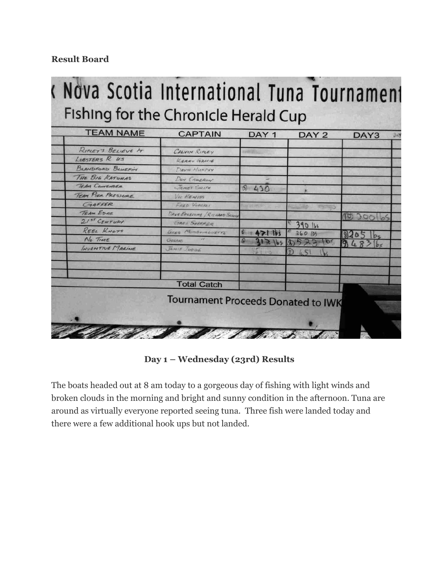#### **Result Board**

# < Nova Scotia International Tuna Tournament Fishing for the Chronicle Herald Cup

| <b>TEAM NAME</b>   | <b>CAPTAIN</b>                            | DAY <sub>1</sub>             | DAY <sub>2</sub> | DAY3        | DA |
|--------------------|-------------------------------------------|------------------------------|------------------|-------------|----|
| RIPLEY'S BELIEVE 1 | CALVIN RIPLEY                             |                              |                  |             |    |
| LOBSTERS R US      | KERRY GRACIE                              |                              |                  |             |    |
| BLANDFORD BLUEFIN  | DAVID MURPHY                              |                              |                  |             |    |
| THE BIG KATUMAS    | DON CAMERON                               |                              |                  |             |    |
| TEAM CONTENDER     | JAMES SMITH                               | 0.430                        |                  |             |    |
| TEAM PIER PRESSURE | VIE HENISS                                |                              |                  |             |    |
| CARFFER            | FRED VOGGELI                              | <b><i>SINGLE SHANGER</i></b> |                  |             |    |
| <b>TEAM EDGE</b>   | DAVE EDGELOME / RICHARD SKUDE             |                              |                  |             |    |
| 21st CENTURY       | GREE SNEFFER                              |                              | 390 161          | (0)<br>3001 |    |
| REEL KNOTS         | GREG MONBOURGUETTE                        | $\rightarrow$                | 260195           |             |    |
| $No$ TIME          | GERRAD                                    |                              | 10.5             |             |    |
| INVENTIVE MARINE   | JAMIE JUDGE                               |                              | 局                | 948         |    |
|                    |                                           | $-4.1 - 175$                 |                  |             |    |
|                    |                                           |                              |                  |             |    |
|                    |                                           |                              |                  |             |    |
|                    | <b>Total Catch</b>                        |                              |                  |             |    |
|                    | <b>Tournament Proceeds Donated to IWK</b> |                              |                  |             |    |
|                    |                                           |                              |                  |             |    |
|                    |                                           |                              |                  |             |    |

**Day 1 – Wednesday (23rd) Results**

The boats headed out at 8 am today to a gorgeous day of fishing with light winds and broken clouds in the morning and bright and sunny condition in the afternoon. Tuna are around as virtually everyone reported seeing tuna. Three fish were landed today and there were a few additional hook ups but not landed.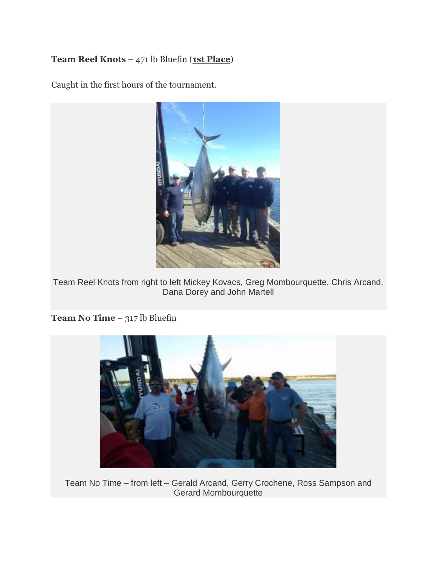#### **Team Reel Knots** – 471 lb Bluefin (**1st Place**)

Caught in the first hours of the tournament.



Team Reel Knots from right to left Mickey Kovacs, Greg Mombourquette, Chris Arcand, Dana Dorey and John Martell

**Team No Time** – 317 lb Bluefin



Team No Time – from left – Gerald Arcand, Gerry Crochene, Ross Sampson and Gerard Mombourquette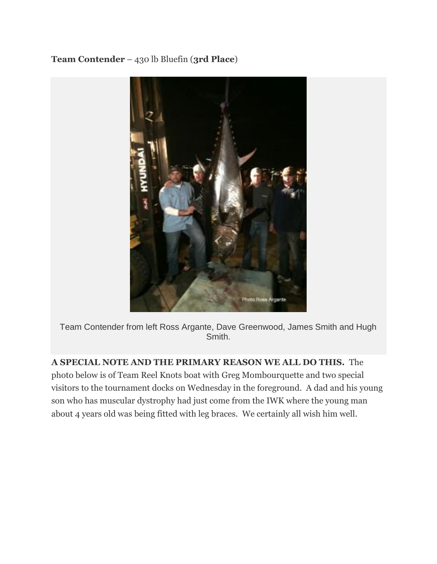#### **Team Contender** – 430 lb Bluefin (**3rd Place**)



Team Contender from left Ross Argante, Dave Greenwood, James Smith and Hugh Smith.

**A SPECIAL NOTE AND THE PRIMARY REASON WE ALL DO THIS.** The photo below is of Team Reel Knots boat with Greg Mombourquette and two special visitors to the tournament docks on Wednesday in the foreground. A dad and his young son who has muscular dystrophy had just come from the IWK where the young man about 4 years old was being fitted with leg braces. We certainly all wish him well.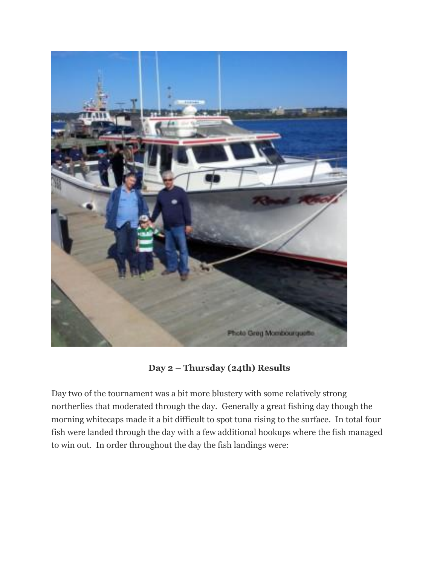

**Day 2 – Thursday (24th) Results**

Day two of the tournament was a bit more blustery with some relatively strong northerlies that moderated through the day. Generally a great fishing day though the morning whitecaps made it a bit difficult to spot tuna rising to the surface. In total four fish were landed through the day with a few additional hookups where the fish managed to win out. In order throughout the day the fish landings were: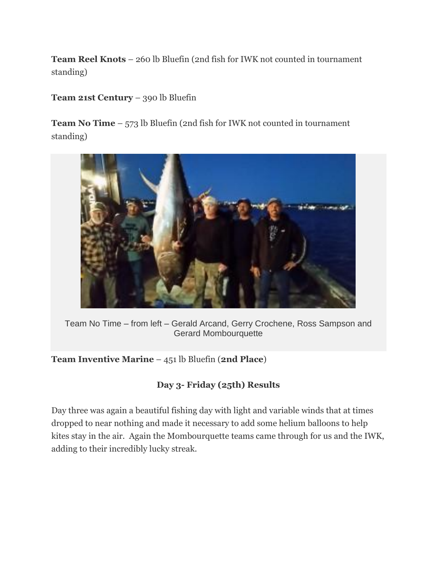**Team Reel Knots** – 260 lb Bluefin (2nd fish for IWK not counted in tournament standing)

**Team 21st Century** – 390 lb Bluefin

**Team No Time** – 573 lb Bluefin (2nd fish for IWK not counted in tournament standing)



Team No Time – from left – Gerald Arcand, Gerry Crochene, Ross Sampson and Gerard Mombourquette

**Team Inventive Marine** – 451 lb Bluefin (**2nd Place**)

#### **Day 3- Friday (25th) Results**

Day three was again a beautiful fishing day with light and variable winds that at times dropped to near nothing and made it necessary to add some helium balloons to help kites stay in the air. Again the Mombourquette teams came through for us and the IWK, adding to their incredibly lucky streak.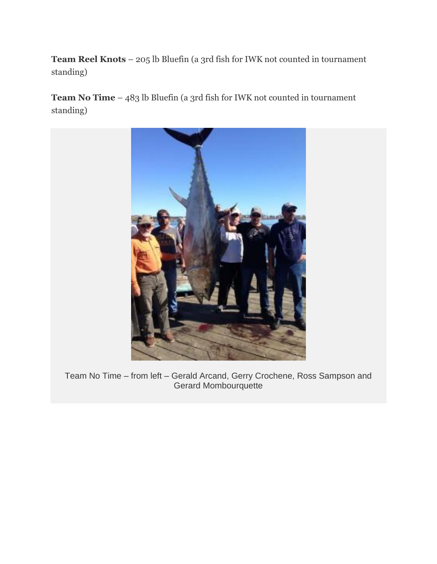**Team Reel Knots** – 205 lb Bluefin (a 3rd fish for IWK not counted in tournament standing)

**Team No Time** – 483 lb Bluefin (a 3rd fish for IWK not counted in tournament standing)



Team No Time – from left – Gerald Arcand, Gerry Crochene, Ross Sampson and Gerard Mombourquette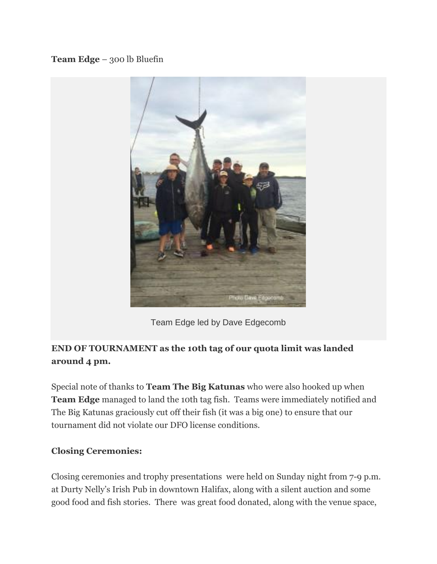#### **Team Edge** – 300 lb Bluefin



Team Edge led by Dave Edgecomb

### **END OF TOURNAMENT as the 10th tag of our quota limit was landed around 4 pm.**

Special note of thanks to **Team The Big Katunas** who were also hooked up when **Team Edge** managed to land the 10th tag fish. Teams were immediately notified and The Big Katunas graciously cut off their fish (it was a big one) to ensure that our tournament did not violate our DFO license conditions.

#### **Closing Ceremonies:**

Closing ceremonies and trophy presentations were held on Sunday night from 7-9 p.m. at Durty Nelly's Irish Pub in downtown Halifax, along with a silent auction and some good food and fish stories. There was great food donated, along with the venue space,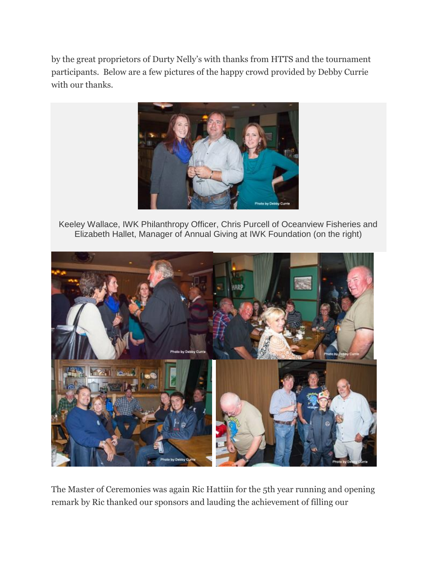by the great proprietors of Durty Nelly's with thanks from HTTS and the tournament participants. Below are a few pictures of the happy crowd provided by Debby Currie with our thanks.



Keeley Wallace, IWK Philanthropy Officer, Chris Purcell of Oceanview Fisheries and Elizabeth Hallet, Manager of Annual Giving at IWK Foundation (on the right)



The Master of Ceremonies was again Ric Hattiin for the 5th year running and opening remark by Ric thanked our sponsors and lauding the achievement of filling our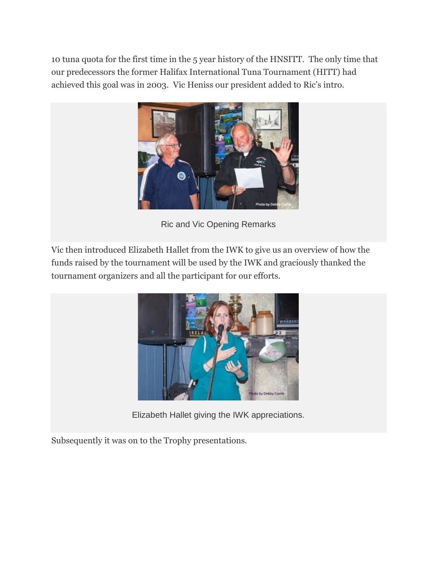10 tuna quota for the first time in the 5 year history of the HNSITT. The only time that our predecessors the former Halifax International Tuna Tournament (HITT) had achieved this goal was in 2003. Vic Heniss our president added to Ric's intro.



Ric and Vic Opening Remarks

Vic then introduced Elizabeth Hallet from the IWK to give us an overview of how the funds raised by the tournament will be used by the IWK and graciously thanked the tournament organizers and all the participant for our efforts.



Elizabeth Hallet giving the IWK appreciations.

Subsequently it was on to the Trophy presentations.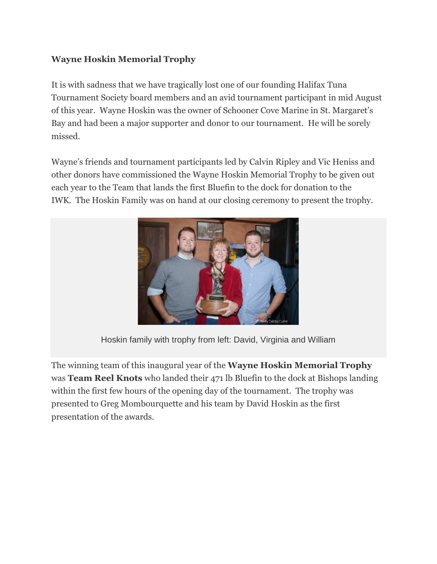#### **Wayne Hoskin Memorial Trophy**

It is with sadness that we have tragically lost one of our founding Halifax Tuna Tournament Society board members and an avid tournament participant in mid August of this year. Wayne Hoskin was the owner of Schooner Cove Marine in St. Margaret's Bay and had been a major supporter and donor to our tournament. He will be sorely missed.

Wayne's friends and tournament participants led by Calvin Ripley and Vic Heniss and other donors have commissioned the Wayne Hoskin Memorial Trophy to be given out each year to the Team that lands the first Bluefin to the dock for donation to the IWK. The Hoskin Family was on hand at our closing ceremony to present the trophy.



Hoskin family with trophy from left: David, Virginia and William

The winning team of this inaugural year of the **Wayne Hoskin Memorial Trophy** was **Team Reel Knots** who landed their 471 lb Bluefin to the dock at Bishops landing within the first few hours of the opening day of the tournament. The trophy was presented to Greg Mombourquette and his team by David Hoskin as the first presentation of the awards.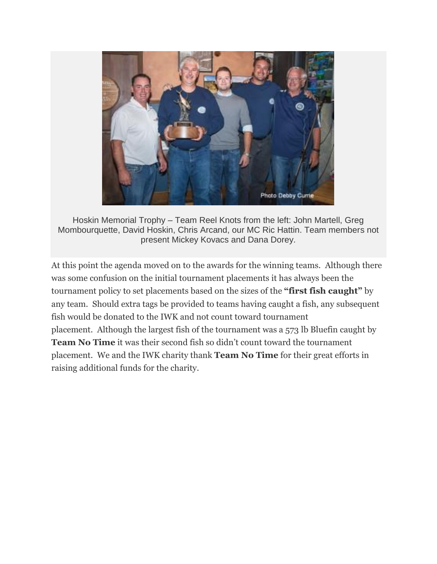

Hoskin Memorial Trophy – Team Reel Knots from the left: John Martell, Greg Mombourquette, David Hoskin, Chris Arcand, our MC Ric Hattin. Team members not present Mickey Kovacs and Dana Dorey.

At this point the agenda moved on to the awards for the winning teams. Although there was some confusion on the initial tournament placements it has always been the tournament policy to set placements based on the sizes of the **"first fish caught"** by any team. Should extra tags be provided to teams having caught a fish, any subsequent fish would be donated to the IWK and not count toward tournament placement. Although the largest fish of the tournament was a 573 lb Bluefin caught by **Team No Time** it was their second fish so didn't count toward the tournament placement. We and the IWK charity thank **Team No Time** for their great efforts in raising additional funds for the charity.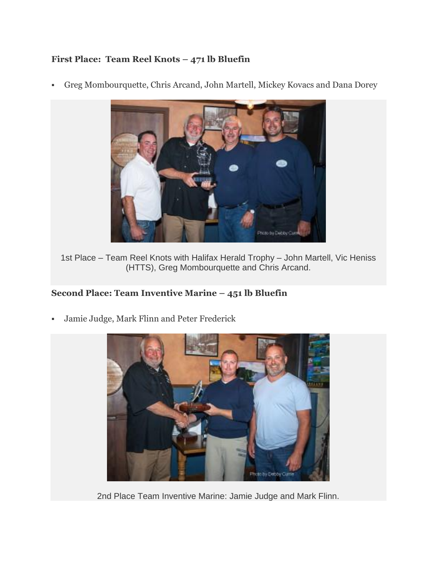#### **First Place: Team Reel Knots – 471 lb Bluefin**

Greg Mombourquette, Chris Arcand, John Martell, Mickey Kovacs and Dana Dorey



1st Place – Team Reel Knots with Halifax Herald Trophy – John Martell, Vic Heniss (HTTS), Greg Mombourquette and Chris Arcand.

#### **Second Place: Team Inventive Marine – 451 lb Bluefin**

Jamie Judge, Mark Flinn and Peter Frederick



2nd Place Team Inventive Marine: Jamie Judge and Mark Flinn.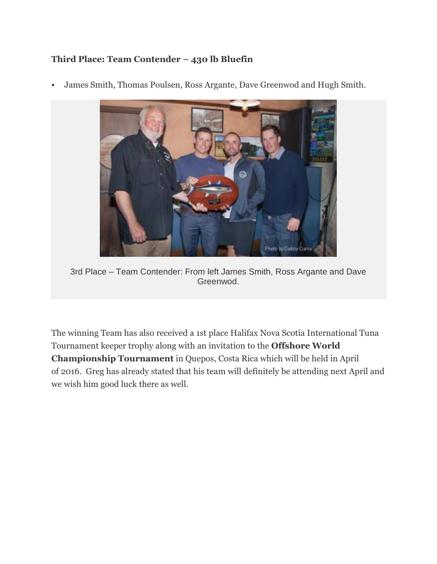#### **Third Place: Team Contender – 430 lb Bluefin**



James Smith, Thomas Poulsen, Ross Argante, Dave Greenwod and Hugh Smith.

3rd Place – Team Contender: From left James Smith, Ross Argante and Dave Greenwod.

The winning Team has also received a 1st place Halifax Nova Scotia International Tuna Tournament keeper trophy along with an invitation to the **Offshore World Championship Tournament** in Quepos, Costa Rica which will be held in April of 2016. Greg has already stated that his team will definitely be attending next April and we wish him good luck there as well.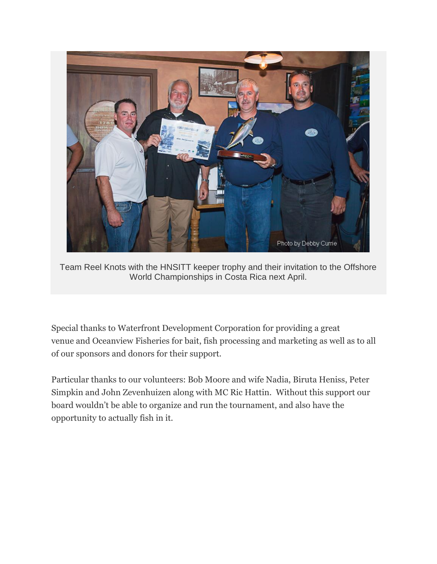

Team Reel Knots with the HNSITT keeper trophy and their invitation to the Offshore World Championships in Costa Rica next April.

Special thanks to Waterfront Development Corporation for providing a great venue and Oceanview Fisheries for bait, fish processing and marketing as well as to all of our sponsors and donors for their support.

Particular thanks to our volunteers: Bob Moore and wife Nadia, Biruta Heniss, Peter Simpkin and John Zevenhuizen along with MC Ric Hattin. Without this support our board wouldn't be able to organize and run the tournament, and also have the opportunity to actually fish in it.